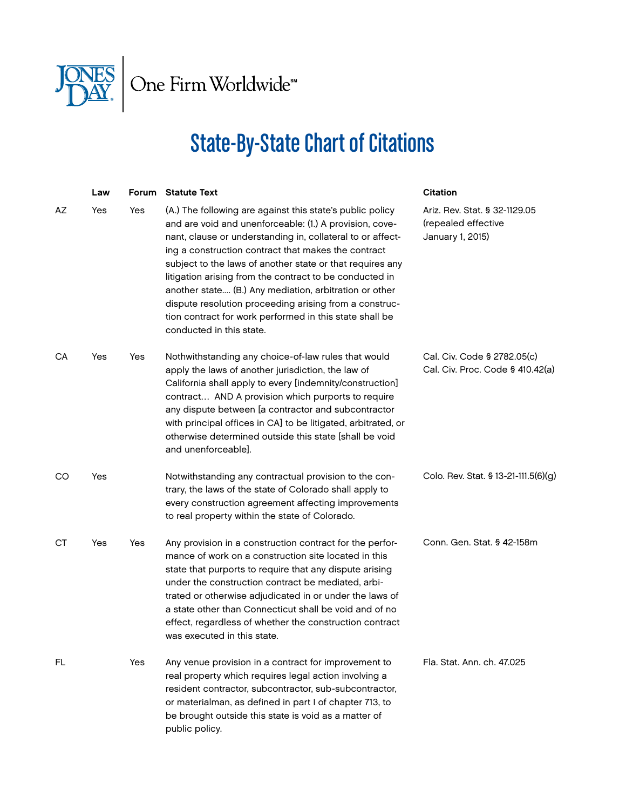

## State-By-State Chart of Citations

|           | Law | <b>Forum</b> | <b>Statute Text</b>                                                                                                                                                                                                                                                                                                                                                                                                                                                                                                                                                          | <b>Citation</b>                                                          |
|-----------|-----|--------------|------------------------------------------------------------------------------------------------------------------------------------------------------------------------------------------------------------------------------------------------------------------------------------------------------------------------------------------------------------------------------------------------------------------------------------------------------------------------------------------------------------------------------------------------------------------------------|--------------------------------------------------------------------------|
| AZ        | Yes | Yes          | (A.) The following are against this state's public policy<br>and are void and unenforceable: (1.) A provision, cove-<br>nant, clause or understanding in, collateral to or affect-<br>ing a construction contract that makes the contract<br>subject to the laws of another state or that requires any<br>litigation arising from the contract to be conducted in<br>another state (B.) Any mediation, arbitration or other<br>dispute resolution proceeding arising from a construc-<br>tion contract for work performed in this state shall be<br>conducted in this state. | Ariz. Rev. Stat. § 32-1129.05<br>(repealed effective<br>January 1, 2015) |
| CA        | Yes | Yes          | Nothwithstanding any choice-of-law rules that would<br>apply the laws of another jurisdiction, the law of<br>California shall apply to every [indemnity/construction]<br>contract AND A provision which purports to require<br>any dispute between [a contractor and subcontractor<br>with principal offices in CA] to be litigated, arbitrated, or<br>otherwise determined outside this state [shall be void<br>and unenforceablel.                                                                                                                                         | Cal. Civ. Code § 2782.05(c)<br>Cal. Civ. Proc. Code § 410.42(a)          |
| CO        | Yes |              | Notwithstanding any contractual provision to the con-<br>trary, the laws of the state of Colorado shall apply to<br>every construction agreement affecting improvements<br>to real property within the state of Colorado.                                                                                                                                                                                                                                                                                                                                                    | Colo. Rev. Stat. § 13-21-111.5(6)(g)                                     |
| <b>CT</b> | Yes | Yes          | Any provision in a construction contract for the perfor-<br>mance of work on a construction site located in this<br>state that purports to require that any dispute arising<br>under the construction contract be mediated, arbi-<br>trated or otherwise adjudicated in or under the laws of<br>a state other than Connecticut shall be void and of no<br>effect, regardless of whether the construction contract<br>was executed in this state.                                                                                                                             | Conn. Gen. Stat. § 42-158m                                               |
| FL        |     | Yes          | Any venue provision in a contract for improvement to<br>real property which requires legal action involving a<br>resident contractor, subcontractor, sub-subcontractor,<br>or materialman, as defined in part I of chapter 713, to<br>be brought outside this state is void as a matter of<br>public policy.                                                                                                                                                                                                                                                                 | Fla. Stat. Ann. ch. 47.025                                               |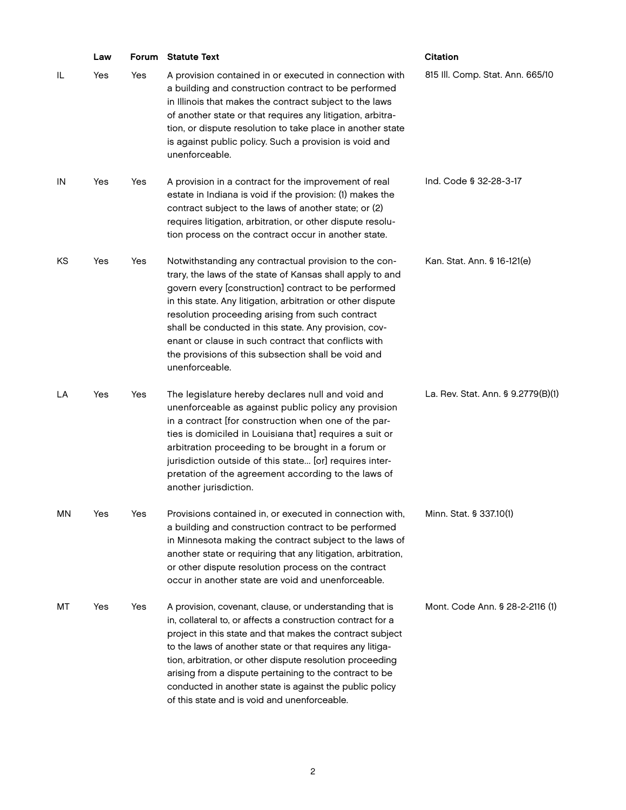|     | Law | Forum | <b>Statute Text</b>                                                                                                                                                                                                                                                                                                                                                                                                                                                                     | <b>Citation</b>                    |
|-----|-----|-------|-----------------------------------------------------------------------------------------------------------------------------------------------------------------------------------------------------------------------------------------------------------------------------------------------------------------------------------------------------------------------------------------------------------------------------------------------------------------------------------------|------------------------------------|
| IL. | Yes | Yes   | A provision contained in or executed in connection with<br>a building and construction contract to be performed<br>in Illinois that makes the contract subject to the laws<br>of another state or that requires any litigation, arbitra-<br>tion, or dispute resolution to take place in another state<br>is against public policy. Such a provision is void and<br>unenforceable.                                                                                                      | 815 Ill. Comp. Stat. Ann. 665/10   |
| IN  | Yes | Yes   | A provision in a contract for the improvement of real<br>estate in Indiana is void if the provision: (1) makes the<br>contract subject to the laws of another state; or (2)<br>requires litigation, arbitration, or other dispute resolu-<br>tion process on the contract occur in another state.                                                                                                                                                                                       | Ind. Code § 32-28-3-17             |
| KS  | Yes | Yes   | Notwithstanding any contractual provision to the con-<br>trary, the laws of the state of Kansas shall apply to and<br>govern every [construction] contract to be performed<br>in this state. Any litigation, arbitration or other dispute<br>resolution proceeding arising from such contract<br>shall be conducted in this state. Any provision, cov-<br>enant or clause in such contract that conflicts with<br>the provisions of this subsection shall be void and<br>unenforceable. | Kan. Stat. Ann. § 16-121(e)        |
| LA  | Yes | Yes   | The legislature hereby declares null and void and<br>unenforceable as against public policy any provision<br>in a contract [for construction when one of the par-<br>ties is domiciled in Louisiana that] requires a suit or<br>arbitration proceeding to be brought in a forum or<br>jurisdiction outside of this state [or] requires inter-<br>pretation of the agreement according to the laws of<br>another jurisdiction.                                                           | La. Rev. Stat. Ann. § 9.2779(B)(1) |
| ΜN  | Yes | Yes   | Provisions contained in, or executed in connection with,<br>a building and construction contract to be performed<br>in Minnesota making the contract subject to the laws of<br>another state or requiring that any litigation, arbitration,<br>or other dispute resolution process on the contract<br>occur in another state are void and unenforceable.                                                                                                                                | Minn. Stat. § 337.10(1)            |
| МT  | Yes | Yes   | A provision, covenant, clause, or understanding that is<br>in, collateral to, or affects a construction contract for a<br>project in this state and that makes the contract subject<br>to the laws of another state or that requires any litiga-<br>tion, arbitration, or other dispute resolution proceeding<br>arising from a dispute pertaining to the contract to be<br>conducted in another state is against the public policy<br>of this state and is void and unenforceable.     | Mont. Code Ann. § 28-2-2116 (1)    |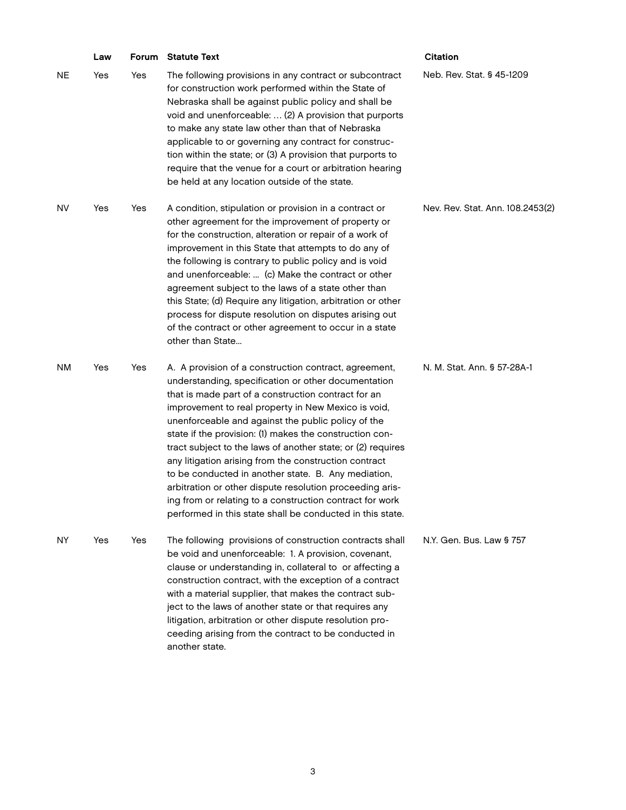|           | Law | Forum | <b>Statute Text</b>                                                                                                                                                                                                                                                                                                                                                                                                                                                                                                                                                                                                                                                                                             | <b>Citation</b>                  |
|-----------|-----|-------|-----------------------------------------------------------------------------------------------------------------------------------------------------------------------------------------------------------------------------------------------------------------------------------------------------------------------------------------------------------------------------------------------------------------------------------------------------------------------------------------------------------------------------------------------------------------------------------------------------------------------------------------------------------------------------------------------------------------|----------------------------------|
| <b>NE</b> | Yes | Yes   | The following provisions in any contract or subcontract<br>for construction work performed within the State of<br>Nebraska shall be against public policy and shall be<br>void and unenforceable:  (2) A provision that purports<br>to make any state law other than that of Nebraska<br>applicable to or governing any contract for construc-<br>tion within the state; or (3) A provision that purports to<br>require that the venue for a court or arbitration hearing<br>be held at any location outside of the state.                                                                                                                                                                                      | Neb. Rev. Stat. § 45-1209        |
| NV        | Yes | Yes   | A condition, stipulation or provision in a contract or<br>other agreement for the improvement of property or<br>for the construction, alteration or repair of a work of<br>improvement in this State that attempts to do any of<br>the following is contrary to public policy and is void<br>and unenforceable:  (c) Make the contract or other<br>agreement subject to the laws of a state other than<br>this State; (d) Require any litigation, arbitration or other<br>process for dispute resolution on disputes arising out<br>of the contract or other agreement to occur in a state<br>other than State                                                                                                  | Nev. Rev. Stat. Ann. 108.2453(2) |
| NM        | Yes | Yes   | A. A provision of a construction contract, agreement,<br>understanding, specification or other documentation<br>that is made part of a construction contract for an<br>improvement to real property in New Mexico is void,<br>unenforceable and against the public policy of the<br>state if the provision: (1) makes the construction con-<br>tract subject to the laws of another state; or (2) requires<br>any litigation arising from the construction contract<br>to be conducted in another state. B. Any mediation,<br>arbitration or other dispute resolution proceeding aris-<br>ing from or relating to a construction contract for work<br>performed in this state shall be conducted in this state. | N. M. Stat. Ann. § 57-28A-1      |
| NY.       | Yes | Yes   | The following provisions of construction contracts shall<br>be void and unenforceable: 1. A provision, covenant,<br>clause or understanding in, collateral to or affecting a<br>construction contract, with the exception of a contract<br>with a material supplier, that makes the contract sub-<br>ject to the laws of another state or that requires any<br>litigation, arbitration or other dispute resolution pro-<br>ceeding arising from the contract to be conducted in<br>another state.                                                                                                                                                                                                               | N.Y. Gen. Bus. Law § 757         |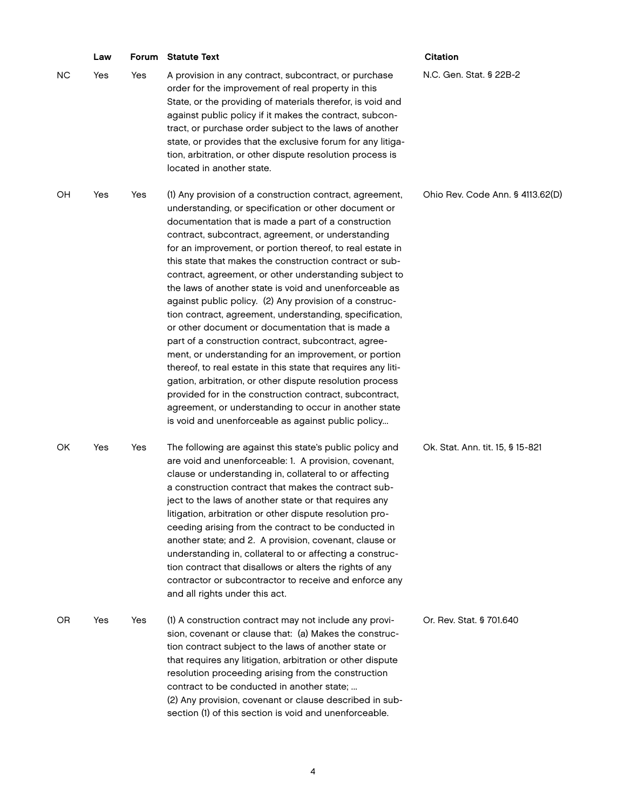|     | Law |     | Forum Statute Text                                                                                                                                                                                                                                                                                                                                                                                                                                                                                                                                                                                                                                                                                                                                                                                                                                                                                                                                                                                                                                                           | <b>Citation</b>                  |
|-----|-----|-----|------------------------------------------------------------------------------------------------------------------------------------------------------------------------------------------------------------------------------------------------------------------------------------------------------------------------------------------------------------------------------------------------------------------------------------------------------------------------------------------------------------------------------------------------------------------------------------------------------------------------------------------------------------------------------------------------------------------------------------------------------------------------------------------------------------------------------------------------------------------------------------------------------------------------------------------------------------------------------------------------------------------------------------------------------------------------------|----------------------------------|
| NС  | Yes | Yes | A provision in any contract, subcontract, or purchase<br>order for the improvement of real property in this<br>State, or the providing of materials therefor, is void and<br>against public policy if it makes the contract, subcon-<br>tract, or purchase order subject to the laws of another<br>state, or provides that the exclusive forum for any litiga-<br>tion, arbitration, or other dispute resolution process is<br>located in another state.                                                                                                                                                                                                                                                                                                                                                                                                                                                                                                                                                                                                                     | N.C. Gen. Stat. § 22B-2          |
| OH  | Yes | Yes | (1) Any provision of a construction contract, agreement,<br>understanding, or specification or other document or<br>documentation that is made a part of a construction<br>contract, subcontract, agreement, or understanding<br>for an improvement, or portion thereof, to real estate in<br>this state that makes the construction contract or sub-<br>contract, agreement, or other understanding subject to<br>the laws of another state is void and unenforceable as<br>against public policy. (2) Any provision of a construc-<br>tion contract, agreement, understanding, specification,<br>or other document or documentation that is made a<br>part of a construction contract, subcontract, agree-<br>ment, or understanding for an improvement, or portion<br>thereof, to real estate in this state that requires any liti-<br>gation, arbitration, or other dispute resolution process<br>provided for in the construction contract, subcontract,<br>agreement, or understanding to occur in another state<br>is void and unenforceable as against public policy | Ohio Rev. Code Ann. § 4113.62(D) |
| OK  | Yes | Yes | The following are against this state's public policy and<br>are void and unenforceable: 1. A provision, covenant,<br>clause or understanding in, collateral to or affecting<br>a construction contract that makes the contract sub-<br>ject to the laws of another state or that requires any<br>litigation, arbitration or other dispute resolution pro-<br>ceeding arising from the contract to be conducted in<br>another state; and 2. A provision, covenant, clause or<br>understanding in, collateral to or affecting a construc-<br>tion contract that disallows or alters the rights of any<br>contractor or subcontractor to receive and enforce any<br>and all rights under this act.                                                                                                                                                                                                                                                                                                                                                                              | Ok. Stat. Ann. tit. 15, § 15-821 |
| OR. | Yes | Yes | (1) A construction contract may not include any provi-<br>sion, covenant or clause that: (a) Makes the construc-<br>tion contract subject to the laws of another state or<br>that requires any litigation, arbitration or other dispute<br>resolution proceeding arising from the construction<br>contract to be conducted in another state;<br>(2) Any provision, covenant or clause described in sub-<br>section (1) of this section is void and unenforceable.                                                                                                                                                                                                                                                                                                                                                                                                                                                                                                                                                                                                            | Or. Rev. Stat. § 701.640         |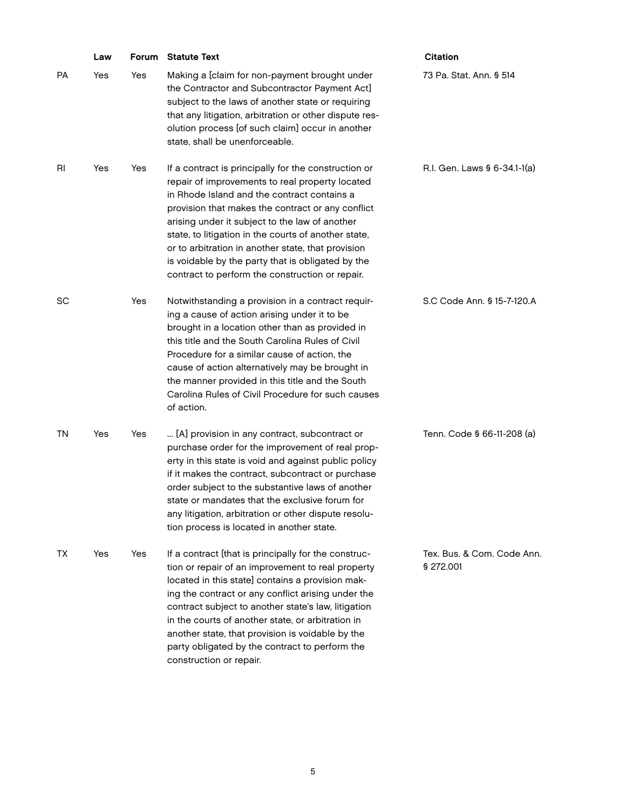|           | Law | Forum | <b>Statute Text</b>                                                                                                                                                                                                                                                                                                                                                                                                                                                                 | <b>Citation</b>                         |
|-----------|-----|-------|-------------------------------------------------------------------------------------------------------------------------------------------------------------------------------------------------------------------------------------------------------------------------------------------------------------------------------------------------------------------------------------------------------------------------------------------------------------------------------------|-----------------------------------------|
| <b>PA</b> | Yes | Yes   | Making a [claim for non-payment brought under<br>the Contractor and Subcontractor Payment Act]<br>subject to the laws of another state or requiring<br>that any litigation, arbitration or other dispute res-<br>olution process [of such claim] occur in another<br>state, shall be unenforceable.                                                                                                                                                                                 | 73 Pa. Stat. Ann. § 514                 |
| RI        | Yes | Yes   | If a contract is principally for the construction or<br>repair of improvements to real property located<br>in Rhode Island and the contract contains a<br>provision that makes the contract or any conflict<br>arising under it subject to the law of another<br>state, to litigation in the courts of another state,<br>or to arbitration in another state, that provision<br>is voidable by the party that is obligated by the<br>contract to perform the construction or repair. | R.I. Gen. Laws § 6-34.1-1(a)            |
| <b>SC</b> |     | Yes   | Notwithstanding a provision in a contract requir-<br>ing a cause of action arising under it to be<br>brought in a location other than as provided in<br>this title and the South Carolina Rules of Civil<br>Procedure for a similar cause of action, the<br>cause of action alternatively may be brought in<br>the manner provided in this title and the South<br>Carolina Rules of Civil Procedure for such causes<br>of action.                                                   | S.C Code Ann. § 15-7-120.A              |
| <b>TN</b> | Yes | Yes   | [A] provision in any contract, subcontract or<br>purchase order for the improvement of real prop-<br>erty in this state is void and against public policy<br>if it makes the contract, subcontract or purchase<br>order subject to the substantive laws of another<br>state or mandates that the exclusive forum for<br>any litigation, arbitration or other dispute resolu-<br>tion process is located in another state.                                                           | Tenn. Code § 66-11-208 (a)              |
| TX        | Yes | Yes   | If a contract [that is principally for the construc-<br>tion or repair of an improvement to real property<br>located in this state] contains a provision mak-<br>ing the contract or any conflict arising under the<br>contract subject to another state's law, litigation<br>in the courts of another state, or arbitration in<br>another state, that provision is voidable by the<br>party obligated by the contract to perform the<br>construction or repair.                    | Tex. Bus. & Com. Code Ann.<br>\$272.001 |